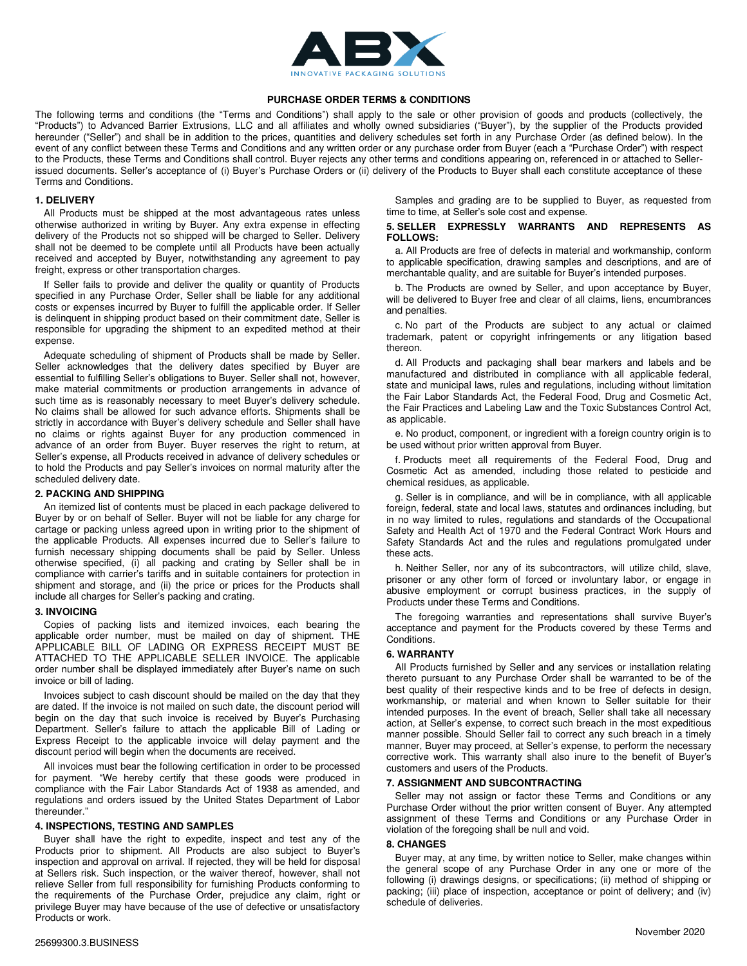

# **PURCHASE ORDER TERMS & CONDITIONS**

The following terms and conditions (the "Terms and Conditions") shall apply to the sale or other provision of goods and products (collectively, the "Products") to Advanced Barrier Extrusions, LLC and all affiliates and wholly owned subsidiaries ("Buyer"), by the supplier of the Products provided hereunder ("Seller") and shall be in addition to the prices, quantities and delivery schedules set forth in any Purchase Order (as defined below). In the event of any conflict between these Terms and Conditions and any written order or any purchase order from Buyer (each a "Purchase Order") with respect to the Products, these Terms and Conditions shall control. Buyer rejects any other terms and conditions appearing on, referenced in or attached to Sellerissued documents. Seller's acceptance of (i) Buyer's Purchase Orders or (ii) delivery of the Products to Buyer shall each constitute acceptance of these Terms and Conditions.

# **1. DELIVERY**

All Products must be shipped at the most advantageous rates unless otherwise authorized in writing by Buyer. Any extra expense in effecting delivery of the Products not so shipped will be charged to Seller. Delivery shall not be deemed to be complete until all Products have been actually received and accepted by Buyer, notwithstanding any agreement to pay freight, express or other transportation charges.

If Seller fails to provide and deliver the quality or quantity of Products specified in any Purchase Order, Seller shall be liable for any additional costs or expenses incurred by Buyer to fulfill the applicable order. If Seller is delinquent in shipping product based on their commitment date, Seller is responsible for upgrading the shipment to an expedited method at their expense.

Adequate scheduling of shipment of Products shall be made by Seller. Seller acknowledges that the delivery dates specified by Buyer are essential to fulfilling Seller's obligations to Buyer. Seller shall not, however, make material commitments or production arrangements in advance of such time as is reasonably necessary to meet Buyer's delivery schedule. No claims shall be allowed for such advance efforts. Shipments shall be strictly in accordance with Buyer's delivery schedule and Seller shall have no claims or rights against Buyer for any production commenced in advance of an order from Buyer. Buyer reserves the right to return, at Seller's expense, all Products received in advance of delivery schedules or to hold the Products and pay Seller's invoices on normal maturity after the scheduled delivery date.

#### **2. PACKING AND SHIPPING**

An itemized list of contents must be placed in each package delivered to Buyer by or on behalf of Seller. Buyer will not be liable for any charge for cartage or packing unless agreed upon in writing prior to the shipment of the applicable Products. All expenses incurred due to Seller's failure to furnish necessary shipping documents shall be paid by Seller. Unless otherwise specified, (i) all packing and crating by Seller shall be in compliance with carrier's tariffs and in suitable containers for protection in shipment and storage, and (ii) the price or prices for the Products shall include all charges for Seller's packing and crating.

#### **3. INVOICING**

Copies of packing lists and itemized invoices, each bearing the applicable order number, must be mailed on day of shipment. THE APPLICABLE BILL OF LADING OR EXPRESS RECEIPT MUST BE ATTACHED TO THE APPLICABLE SELLER INVOICE. The applicable order number shall be displayed immediately after Buyer's name on such invoice or bill of lading.

Invoices subject to cash discount should be mailed on the day that they are dated. If the invoice is not mailed on such date, the discount period will begin on the day that such invoice is received by Buyer's Purchasing Department. Seller's failure to attach the applicable Bill of Lading or Express Receipt to the applicable invoice will delay payment and the discount period will begin when the documents are received.

All invoices must bear the following certification in order to be processed for payment. "We hereby certify that these goods were produced in compliance with the Fair Labor Standards Act of 1938 as amended, and regulations and orders issued by the United States Department of Labor thereunder."

# **4. INSPECTIONS, TESTING AND SAMPLES**

Buyer shall have the right to expedite, inspect and test any of the Products prior to shipment. All Products are also subject to Buyer's inspection and approval on arrival. If rejected, they will be held for disposal at Sellers risk. Such inspection, or the waiver thereof, however, shall not relieve Seller from full responsibility for furnishing Products conforming to the requirements of the Purchase Order, prejudice any claim, right or privilege Buyer may have because of the use of defective or unsatisfactory Products or work.

Samples and grading are to be supplied to Buyer, as requested from time to time, at Seller's sole cost and expense.

# **5. SELLER EXPRESSLY WARRANTS AND REPRESENTS AS FOLLOWS:**

a. All Products are free of defects in material and workmanship, conform to applicable specification, drawing samples and descriptions, and are of merchantable quality, and are suitable for Buyer's intended purposes.

b. The Products are owned by Seller, and upon acceptance by Buyer, will be delivered to Buyer free and clear of all claims, liens, encumbrances and penalties.

c. No part of the Products are subject to any actual or claimed trademark, patent or copyright infringements or any litigation based thereon.

d. All Products and packaging shall bear markers and labels and be manufactured and distributed in compliance with all applicable federal, state and municipal laws, rules and regulations, including without limitation the Fair Labor Standards Act, the Federal Food, Drug and Cosmetic Act, the Fair Practices and Labeling Law and the Toxic Substances Control Act, as applicable.

e. No product, component, or ingredient with a foreign country origin is to be used without prior written approval from Buyer.

f. Products meet all requirements of the Federal Food, Drug and Cosmetic Act as amended, including those related to pesticide and chemical residues, as applicable.

g. Seller is in compliance, and will be in compliance, with all applicable foreign, federal, state and local laws, statutes and ordinances including, but in no way limited to rules, regulations and standards of the Occupational Safety and Health Act of 1970 and the Federal Contract Work Hours and Safety Standards Act and the rules and regulations promulgated under these acts.

h. Neither Seller, nor any of its subcontractors, will utilize child, slave, prisoner or any other form of forced or involuntary labor, or engage in abusive employment or corrupt business practices, in the supply of Products under these Terms and Conditions.

The foregoing warranties and representations shall survive Buyer's acceptance and payment for the Products covered by these Terms and Conditions.

## **6. WARRANTY**

All Products furnished by Seller and any services or installation relating thereto pursuant to any Purchase Order shall be warranted to be of the best quality of their respective kinds and to be free of defects in design, workmanship, or material and when known to Seller suitable for their intended purposes. In the event of breach, Seller shall take all necessary action, at Seller's expense, to correct such breach in the most expeditious manner possible. Should Seller fail to correct any such breach in a timely manner, Buyer may proceed, at Seller's expense, to perform the necessary corrective work. This warranty shall also inure to the benefit of Buyer's customers and users of the Products.

# **7. ASSIGNMENT AND SUBCONTRACTING**

Seller may not assign or factor these Terms and Conditions or any Purchase Order without the prior written consent of Buyer. Any attempted assignment of these Terms and Conditions or any Purchase Order in violation of the foregoing shall be null and void.

# **8. CHANGES**

Buyer may, at any time, by written notice to Seller, make changes within the general scope of any Purchase Order in any one or more of the following (i) drawings designs, or specifications; (ii) method of shipping or packing; (iii) place of inspection, acceptance or point of delivery; and (iv) schedule of deliveries.